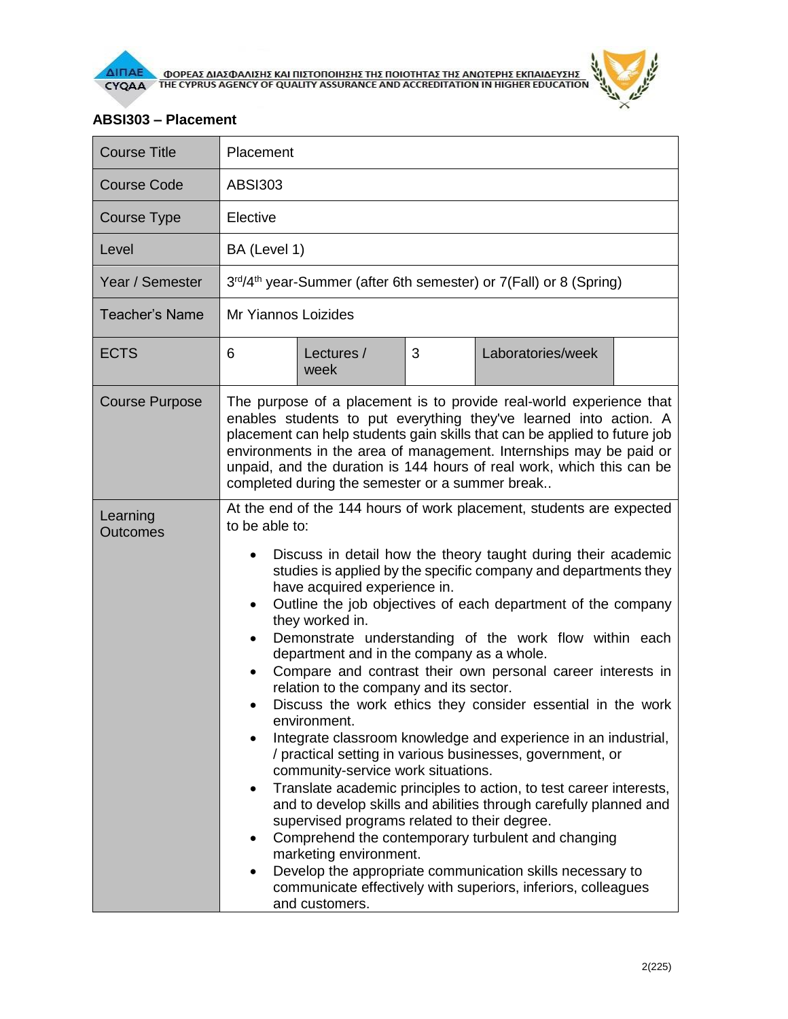

## **ABSI303 – Placement**

| <b>Course Title</b>         | Placement                                                                                                                                                                                                                                                                                                                                                                                                                                                                                                                                                                                                                                                                                                                                                                                                                                                                                                                                                                                                                                                                                                                                                                                                                                                                                                                        |                    |   |                   |  |  |  |
|-----------------------------|----------------------------------------------------------------------------------------------------------------------------------------------------------------------------------------------------------------------------------------------------------------------------------------------------------------------------------------------------------------------------------------------------------------------------------------------------------------------------------------------------------------------------------------------------------------------------------------------------------------------------------------------------------------------------------------------------------------------------------------------------------------------------------------------------------------------------------------------------------------------------------------------------------------------------------------------------------------------------------------------------------------------------------------------------------------------------------------------------------------------------------------------------------------------------------------------------------------------------------------------------------------------------------------------------------------------------------|--------------------|---|-------------------|--|--|--|
| <b>Course Code</b>          | <b>ABSI303</b>                                                                                                                                                                                                                                                                                                                                                                                                                                                                                                                                                                                                                                                                                                                                                                                                                                                                                                                                                                                                                                                                                                                                                                                                                                                                                                                   |                    |   |                   |  |  |  |
| <b>Course Type</b>          | Elective                                                                                                                                                                                                                                                                                                                                                                                                                                                                                                                                                                                                                                                                                                                                                                                                                                                                                                                                                                                                                                                                                                                                                                                                                                                                                                                         |                    |   |                   |  |  |  |
| Level                       | BA (Level 1)                                                                                                                                                                                                                                                                                                                                                                                                                                                                                                                                                                                                                                                                                                                                                                                                                                                                                                                                                                                                                                                                                                                                                                                                                                                                                                                     |                    |   |                   |  |  |  |
| Year / Semester             | 3rd/4 <sup>th</sup> year-Summer (after 6th semester) or 7(Fall) or 8 (Spring)                                                                                                                                                                                                                                                                                                                                                                                                                                                                                                                                                                                                                                                                                                                                                                                                                                                                                                                                                                                                                                                                                                                                                                                                                                                    |                    |   |                   |  |  |  |
| <b>Teacher's Name</b>       | Mr Yiannos Loizides                                                                                                                                                                                                                                                                                                                                                                                                                                                                                                                                                                                                                                                                                                                                                                                                                                                                                                                                                                                                                                                                                                                                                                                                                                                                                                              |                    |   |                   |  |  |  |
| <b>ECTS</b>                 | 6                                                                                                                                                                                                                                                                                                                                                                                                                                                                                                                                                                                                                                                                                                                                                                                                                                                                                                                                                                                                                                                                                                                                                                                                                                                                                                                                | Lectures /<br>week | 3 | Laboratories/week |  |  |  |
| <b>Course Purpose</b>       | The purpose of a placement is to provide real-world experience that<br>enables students to put everything they've learned into action. A<br>placement can help students gain skills that can be applied to future job<br>environments in the area of management. Internships may be paid or<br>unpaid, and the duration is 144 hours of real work, which this can be<br>completed during the semester or a summer break                                                                                                                                                                                                                                                                                                                                                                                                                                                                                                                                                                                                                                                                                                                                                                                                                                                                                                          |                    |   |                   |  |  |  |
| Learning<br><b>Outcomes</b> | At the end of the 144 hours of work placement, students are expected<br>to be able to:<br>Discuss in detail how the theory taught during their academic<br>$\bullet$<br>studies is applied by the specific company and departments they<br>have acquired experience in.<br>Outline the job objectives of each department of the company<br>$\bullet$<br>they worked in.<br>Demonstrate understanding of the work flow within each<br>$\bullet$<br>department and in the company as a whole.<br>Compare and contrast their own personal career interests in<br>relation to the company and its sector.<br>Discuss the work ethics they consider essential in the work<br>$\bullet$<br>environment.<br>Integrate classroom knowledge and experience in an industrial,<br>/ practical setting in various businesses, government, or<br>community-service work situations.<br>Translate academic principles to action, to test career interests,<br>$\bullet$<br>and to develop skills and abilities through carefully planned and<br>supervised programs related to their degree.<br>Comprehend the contemporary turbulent and changing<br>٠<br>marketing environment.<br>Develop the appropriate communication skills necessary to<br>$\bullet$<br>communicate effectively with superiors, inferiors, colleagues<br>and customers. |                    |   |                   |  |  |  |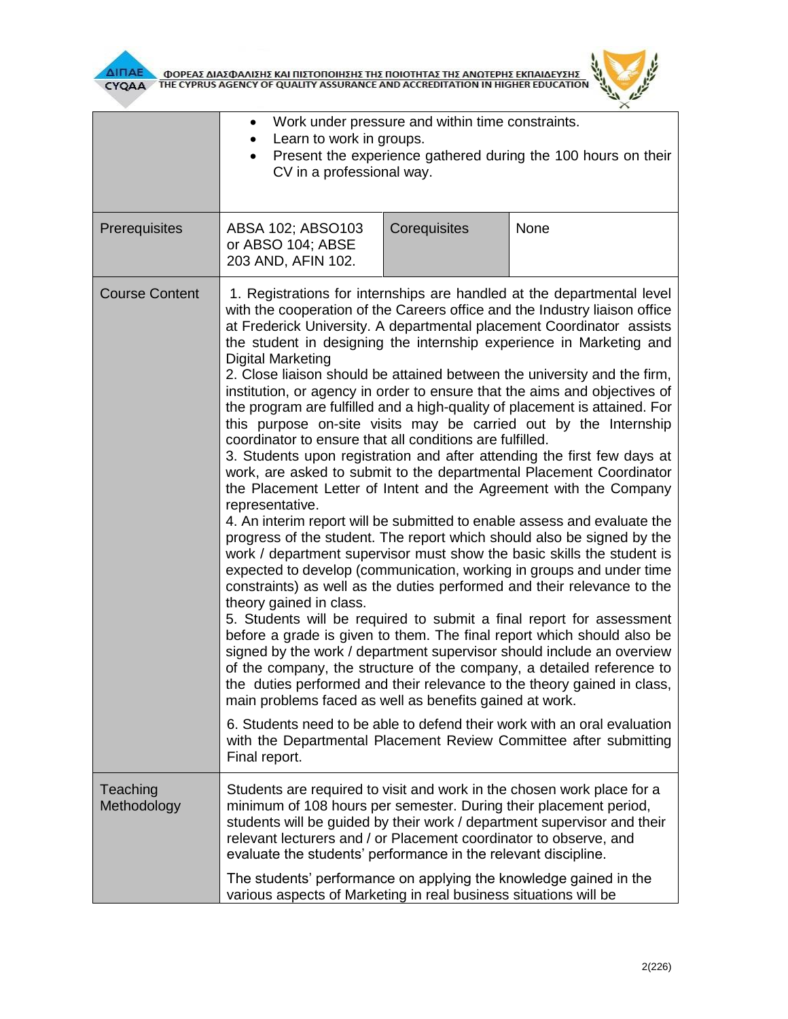

**AITIAE OPEAE AIAZOANIZHE KAI TIIZTOTIOIHEHE THE TOIOTHTAE THE ANOTEPHE EKTIAIAEYEHE** 



|                         | Work under pressure and within time constraints.<br>$\bullet$<br>Learn to work in groups.<br>Present the experience gathered during the 100 hours on their<br>CV in a professional way.                                                                                                                                                                                                                                                                                                                                                                                                                                                                                                                                                                                                                                                                                                                                                                                                                                                                                                                                                                                                                                                                                                                                                                                                                                                                                                                                                                                                                                                                                                                                                                                                                                                                                                                                                                    |              |      |  |  |
|-------------------------|------------------------------------------------------------------------------------------------------------------------------------------------------------------------------------------------------------------------------------------------------------------------------------------------------------------------------------------------------------------------------------------------------------------------------------------------------------------------------------------------------------------------------------------------------------------------------------------------------------------------------------------------------------------------------------------------------------------------------------------------------------------------------------------------------------------------------------------------------------------------------------------------------------------------------------------------------------------------------------------------------------------------------------------------------------------------------------------------------------------------------------------------------------------------------------------------------------------------------------------------------------------------------------------------------------------------------------------------------------------------------------------------------------------------------------------------------------------------------------------------------------------------------------------------------------------------------------------------------------------------------------------------------------------------------------------------------------------------------------------------------------------------------------------------------------------------------------------------------------------------------------------------------------------------------------------------------------|--------------|------|--|--|
| Prerequisites           | ABSA 102; ABSO103<br>or ABSO 104; ABSE<br>203 AND, AFIN 102.                                                                                                                                                                                                                                                                                                                                                                                                                                                                                                                                                                                                                                                                                                                                                                                                                                                                                                                                                                                                                                                                                                                                                                                                                                                                                                                                                                                                                                                                                                                                                                                                                                                                                                                                                                                                                                                                                               | Corequisites | None |  |  |
| <b>Course Content</b>   | 1. Registrations for internships are handled at the departmental level<br>with the cooperation of the Careers office and the Industry liaison office<br>at Frederick University. A departmental placement Coordinator assists<br>the student in designing the internship experience in Marketing and<br><b>Digital Marketing</b><br>2. Close liaison should be attained between the university and the firm,<br>institution, or agency in order to ensure that the aims and objectives of<br>the program are fulfilled and a high-quality of placement is attained. For<br>this purpose on-site visits may be carried out by the Internship<br>coordinator to ensure that all conditions are fulfilled.<br>3. Students upon registration and after attending the first few days at<br>work, are asked to submit to the departmental Placement Coordinator<br>the Placement Letter of Intent and the Agreement with the Company<br>representative.<br>4. An interim report will be submitted to enable assess and evaluate the<br>progress of the student. The report which should also be signed by the<br>work / department supervisor must show the basic skills the student is<br>expected to develop (communication, working in groups and under time<br>constraints) as well as the duties performed and their relevance to the<br>theory gained in class.<br>5. Students will be required to submit a final report for assessment<br>before a grade is given to them. The final report which should also be<br>signed by the work / department supervisor should include an overview<br>of the company, the structure of the company, a detailed reference to<br>the duties performed and their relevance to the theory gained in class,<br>main problems faced as well as benefits gained at work.<br>6. Students need to be able to defend their work with an oral evaluation<br>with the Departmental Placement Review Committee after submitting |              |      |  |  |
| Teaching<br>Methodology | Students are required to visit and work in the chosen work place for a<br>minimum of 108 hours per semester. During their placement period,<br>students will be guided by their work / department supervisor and their<br>relevant lecturers and / or Placement coordinator to observe, and<br>evaluate the students' performance in the relevant discipline.<br>The students' performance on applying the knowledge gained in the                                                                                                                                                                                                                                                                                                                                                                                                                                                                                                                                                                                                                                                                                                                                                                                                                                                                                                                                                                                                                                                                                                                                                                                                                                                                                                                                                                                                                                                                                                                         |              |      |  |  |
|                         | various aspects of Marketing in real business situations will be                                                                                                                                                                                                                                                                                                                                                                                                                                                                                                                                                                                                                                                                                                                                                                                                                                                                                                                                                                                                                                                                                                                                                                                                                                                                                                                                                                                                                                                                                                                                                                                                                                                                                                                                                                                                                                                                                           |              |      |  |  |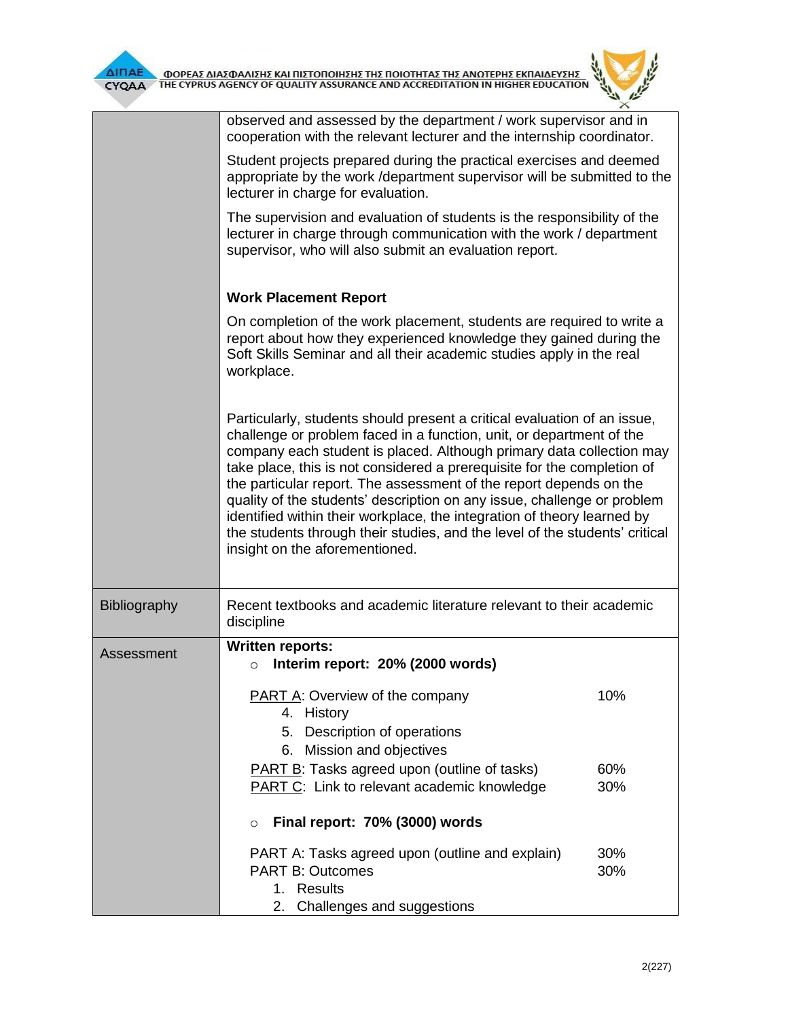

|              | observed and assessed by the department / work supervisor and in<br>cooperation with the relevant lecturer and the internship coordinator.                                                                                                                                                                                                                                                                                                                                                                                                                                                                                                       |     |  |  |  |
|--------------|--------------------------------------------------------------------------------------------------------------------------------------------------------------------------------------------------------------------------------------------------------------------------------------------------------------------------------------------------------------------------------------------------------------------------------------------------------------------------------------------------------------------------------------------------------------------------------------------------------------------------------------------------|-----|--|--|--|
|              | Student projects prepared during the practical exercises and deemed<br>appropriate by the work / department supervisor will be submitted to the<br>lecturer in charge for evaluation.<br>The supervision and evaluation of students is the responsibility of the<br>lecturer in charge through communication with the work / department<br>supervisor, who will also submit an evaluation report.                                                                                                                                                                                                                                                |     |  |  |  |
|              |                                                                                                                                                                                                                                                                                                                                                                                                                                                                                                                                                                                                                                                  |     |  |  |  |
|              | <b>Work Placement Report</b>                                                                                                                                                                                                                                                                                                                                                                                                                                                                                                                                                                                                                     |     |  |  |  |
|              | On completion of the work placement, students are required to write a<br>report about how they experienced knowledge they gained during the<br>Soft Skills Seminar and all their academic studies apply in the real<br>workplace.                                                                                                                                                                                                                                                                                                                                                                                                                |     |  |  |  |
|              | Particularly, students should present a critical evaluation of an issue,<br>challenge or problem faced in a function, unit, or department of the<br>company each student is placed. Although primary data collection may<br>take place, this is not considered a prerequisite for the completion of<br>the particular report. The assessment of the report depends on the<br>quality of the students' description on any issue, challenge or problem<br>identified within their workplace, the integration of theory learned by<br>the students through their studies, and the level of the students' critical<br>insight on the aforementioned. |     |  |  |  |
| Bibliography | Recent textbooks and academic literature relevant to their academic<br>discipline                                                                                                                                                                                                                                                                                                                                                                                                                                                                                                                                                                |     |  |  |  |
| Assessment   | <b>Written reports:</b>                                                                                                                                                                                                                                                                                                                                                                                                                                                                                                                                                                                                                          |     |  |  |  |
|              | Interim report: 20% (2000 words)<br>$\circ$                                                                                                                                                                                                                                                                                                                                                                                                                                                                                                                                                                                                      |     |  |  |  |
|              | PART A: Overview of the company<br>4. History                                                                                                                                                                                                                                                                                                                                                                                                                                                                                                                                                                                                    | 10% |  |  |  |
|              | 5. Description of operations                                                                                                                                                                                                                                                                                                                                                                                                                                                                                                                                                                                                                     |     |  |  |  |
|              | 6. Mission and objectives                                                                                                                                                                                                                                                                                                                                                                                                                                                                                                                                                                                                                        |     |  |  |  |
|              | PART B: Tasks agreed upon (outline of tasks)                                                                                                                                                                                                                                                                                                                                                                                                                                                                                                                                                                                                     | 60% |  |  |  |
|              | <b>PART C:</b> Link to relevant academic knowledge                                                                                                                                                                                                                                                                                                                                                                                                                                                                                                                                                                                               | 30% |  |  |  |
|              | Final report: 70% (3000) words<br>$\circ$                                                                                                                                                                                                                                                                                                                                                                                                                                                                                                                                                                                                        |     |  |  |  |
|              | PART A: Tasks agreed upon (outline and explain)                                                                                                                                                                                                                                                                                                                                                                                                                                                                                                                                                                                                  | 30% |  |  |  |
|              | <b>PART B: Outcomes</b><br>1. Results                                                                                                                                                                                                                                                                                                                                                                                                                                                                                                                                                                                                            | 30% |  |  |  |
|              | Challenges and suggestions<br>2.                                                                                                                                                                                                                                                                                                                                                                                                                                                                                                                                                                                                                 |     |  |  |  |